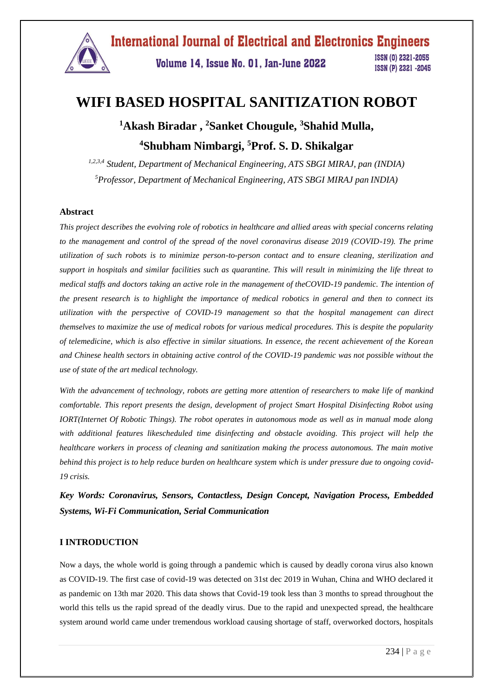

**International Journal of Electrical and Electronics Engineers** 

Volume 14, Issue No. 01, Jan-June 2022

ISSN (0) 2321-2055 ISSN (P) 2321 -2045

# **WIFI BASED HOSPITAL SANITIZATION ROBOT**

## **<sup>1</sup>Akash Biradar , <sup>2</sup>Sanket Chougule, <sup>3</sup>Shahid Mulla, <sup>4</sup>Shubham Nimbargi, <sup>5</sup>Prof. S. D. Shikalgar**

*1,2,3,4 Student, Department of Mechanical Engineering, ATS SBGI MIRAJ, pan (INDIA) <sup>5</sup>Professor, Department of Mechanical Engineering, ATS SBGI MIRAJ pan INDIA)*

## **Abstract**

*This project describes the evolving role of robotics in healthcare and allied areas with special concerns relating to the management and control of the spread of the novel coronavirus disease 2019 (COVID-19). The prime utilization of such robots is to minimize person-to-person contact and to ensure cleaning, sterilization and support in hospitals and similar facilities such as quarantine. This will result in minimizing the life threat to medical staffs and doctors taking an active role in the management of theCOVID-19 pandemic. The intention of the present research is to highlight the importance of medical robotics in general and then to connect its utilization with the perspective of COVID-19 management so that the hospital management can direct themselves to maximize the use of medical robots for various medical procedures. This is despite the popularity of telemedicine, which is also effective in similar situations. In essence, the recent achievement of the Korean and Chinese health sectors in obtaining active control of the COVID-19 pandemic was not possible without the use of state of the art medical technology.*

*With the advancement of technology, robots are getting more attention of researchers to make life of mankind comfortable. This report presents the design, development of project Smart Hospital Disinfecting Robot using IORT(Internet Of Robotic Things). The robot operates in autonomous mode as well as in manual mode along with additional features likescheduled time disinfecting and obstacle avoiding. This project will help the healthcare workers in process of cleaning and sanitization making the process autonomous. The main motive behind this project is to help reduce burden on healthcare system which is under pressure due to ongoing covid-19 crisis.*

*Key Words: Coronavirus, Sensors, Contactless, Design Concept, Navigation Process, Embedded Systems, Wi-Fi Communication, Serial Communication*

## **I INTRODUCTION**

Now a days, the whole world is going through a pandemic which is caused by deadly corona virus also known as COVID-19. The first case of covid-19 was detected on 31st dec 2019 in Wuhan, China and WHO declared it as pandemic on 13th mar 2020. This data shows that Covid-19 took less than 3 months to spread throughout the world this tells us the rapid spread of the deadly virus. Due to the rapid and unexpected spread, the healthcare system around world came under tremendous workload causing shortage of staff, overworked doctors, hospitals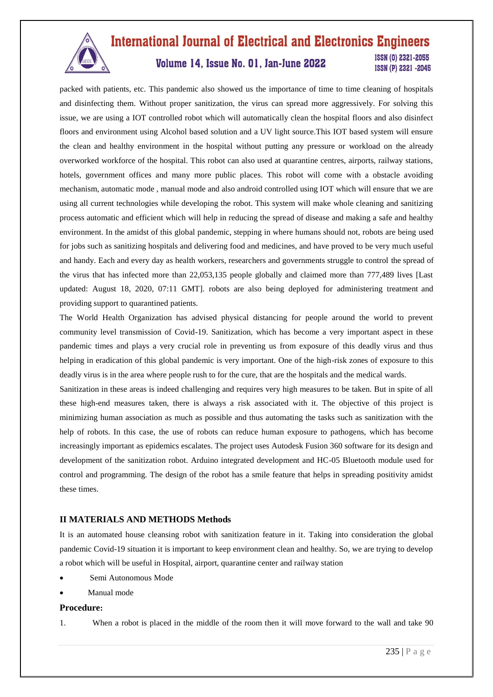

## **International Journal of Electrical and Electronics Engineers ISSN (0) 2321-2055** Volume 14, Issue No. 01, Jan-June 2022 ISSN (P) 2321 -2045

packed with patients, etc. This pandemic also showed us the importance of time to time cleaning of hospitals and disinfecting them. Without proper sanitization, the virus can spread more aggressively. For solving this issue, we are using a IOT controlled robot which will automatically clean the hospital floors and also disinfect floors and environment using Alcohol based solution and a UV light source.This IOT based system will ensure the clean and healthy environment in the hospital without putting any pressure or workload on the already overworked workforce of the hospital. This robot can also used at quarantine centres, airports, railway stations, hotels, government offices and many more public places. This robot will come with a obstacle avoiding mechanism, automatic mode , manual mode and also android controlled using IOT which will ensure that we are using all current technologies while developing the robot. This system will make whole cleaning and sanitizing process automatic and efficient which will help in reducing the spread of disease and making a safe and healthy environment. In the amidst of this global pandemic, stepping in where humans should not, robots are being used for jobs such as sanitizing hospitals and delivering food and medicines, and have proved to be very much useful and handy. Each and every day as health workers, researchers and governments struggle to control the spread of the virus that has infected more than 22,053,135 people globally and claimed more than 777,489 lives [Last updated: August 18, 2020, 07:11 GMT]. robots are also being deployed for administering treatment and providing support to quarantined patients.

The World Health Organization has advised physical distancing for people around the world to prevent community level transmission of Covid-19. Sanitization, which has become a very important aspect in these pandemic times and plays a very crucial role in preventing us from exposure of this deadly virus and thus helping in eradication of this global pandemic is very important. One of the high-risk zones of exposure to this deadly virus is in the area where people rush to for the cure, that are the hospitals and the medical wards.

Sanitization in these areas is indeed challenging and requires very high measures to be taken. But in spite of all these high-end measures taken, there is always a risk associated with it. The objective of this project is minimizing human association as much as possible and thus automating the tasks such as sanitization with the help of robots. In this case, the use of robots can reduce human exposure to pathogens, which has become increasingly important as epidemics escalates. The project uses Autodesk Fusion 360 software for its design and development of the sanitization robot. Arduino integrated development and HC-05 Bluetooth module used for control and programming. The design of the robot has a smile feature that helps in spreading positivity amidst these times.

## **II MATERIALS AND METHODS Methods**

It is an automated house cleansing robot with sanitization feature in it. Taking into consideration the global pandemic Covid-19 situation it is important to keep environment clean and healthy. So, we are trying to develop a robot which will be useful in Hospital, airport, quarantine center and railway station

- Semi Autonomous Mode
- Manual mode

## **Procedure:**

1. When a robot is placed in the middle of the room then it will move forward to the wall and take 90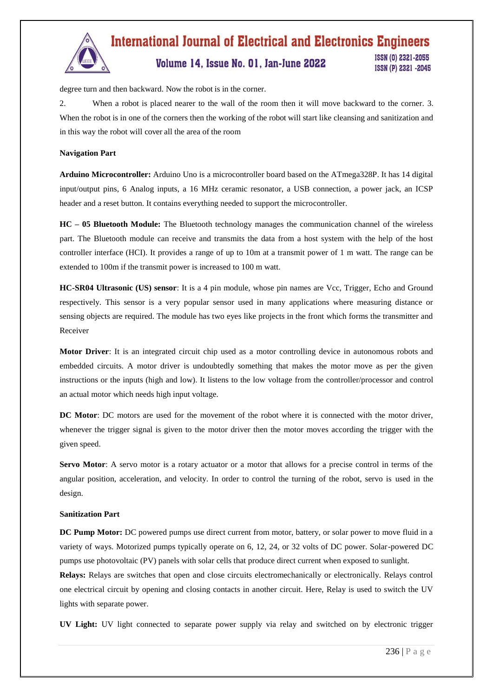

## **International Journal of Electrical and Electronics Engineers** ISSN (0) 2321-2055 Volume 14, Issue No. 01, Jan-June 2022

ISSN (P) 2321 -2045

degree turn and then backward. Now the robot is in the corner.

2. When a robot is placed nearer to the wall of the room then it will move backward to the corner. 3. When the robot is in one of the corners then the working of the robot will start like cleansing and sanitization and in this way the robot will cover all the area of the room

## **Navigation Part**

**Arduino Microcontroller:** Arduino Uno is a microcontroller board based on the ATmega328P. It has 14 digital input/output pins, 6 Analog inputs, a 16 MHz ceramic resonator, a USB connection, a power jack, an ICSP header and a reset button. It contains everything needed to support the microcontroller.

**HC – 05 Bluetooth Module:** The Bluetooth technology manages the communication channel of the wireless part. The Bluetooth module can receive and transmits the data from a host system with the help of the host controller interface (HCI). It provides a range of up to 10m at a transmit power of 1 m watt. The range can be extended to 100m if the transmit power is increased to 100 m watt.

**HC-SR04 Ultrasonic (US) sensor**: It is a 4 pin module, whose pin names are Vcc, Trigger, Echo and Ground respectively. This sensor is a very popular sensor used in many applications where measuring distance or sensing objects are required. The module has two eyes like projects in the front which forms the transmitter and Receiver

**Motor Driver**: It is an integrated circuit chip used as a motor controlling device in autonomous robots and embedded circuits. A motor driver is undoubtedly something that makes the motor move as per the given instructions or the inputs (high and low). It listens to the low voltage from the controller/processor and control an actual motor which needs high input voltage.

**DC Motor**: DC motors are used for the movement of the robot where it is connected with the motor driver, whenever the trigger signal is given to the motor driver then the motor moves according the trigger with the given speed.

**Servo Motor**: A servo motor is a rotary actuator or a motor that allows for a precise control in terms of the angular position, acceleration, and velocity. In order to control the turning of the robot, servo is used in the design.

#### **Sanitization Part**

**DC Pump Motor:** DC powered pumps use direct current from motor, battery, or solar power to move fluid in a variety of ways. Motorized pumps typically operate on 6, 12, 24, or 32 volts of DC power. Solar-powered DC pumps use photovoltaic (PV) panels with solar cells that produce direct current when exposed to sunlight.

**Relays:** Relays are switches that open and close circuits electromechanically or electronically. Relays control one electrical circuit by opening and closing contacts in another circuit. Here, Relay is used to switch the UV lights with separate power.

**UV Light:** UV light connected to separate power supply via relay and switched on by electronic trigger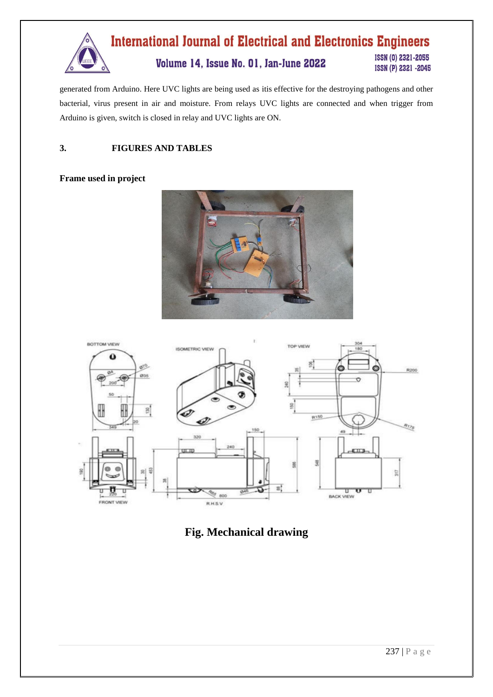

generated from Arduino. Here UVC lights are being used as itis effective for the destroying pathogens and other bacterial, virus present in air and moisture. From relays UVC lights are connected and when trigger from Arduino is given, switch is closed in relay and UVC lights are ON.

## **3. FIGURES AND TABLES**

## **Frame used in project**





## **Fig. Mechanical drawing**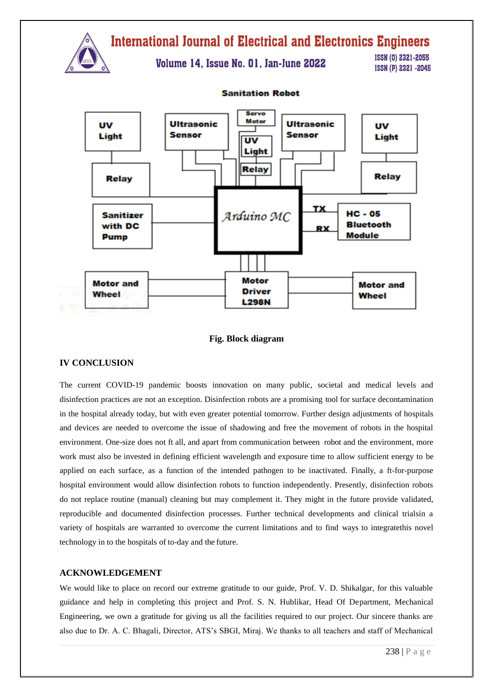

## **Fig. Block diagram**

#### **IV CONCLUSION**

The current COVID-19 pandemic boosts innovation on many public, societal and medical levels and disinfection practices are not an exception. Disinfection robots are a promising tool for surface decontamination in the hospital already today, but with even greater potential tomorrow. Further design adjustments of hospitals and devices are needed to overcome the issue of shadowing and free the movement of robots in the hospital environment. One-size does not ft all, and apart from communication between robot and the environment, more work must also be invested in defining efficient wavelength and exposure time to allow sufficient energy to be applied on each surface, as a function of the intended pathogen to be inactivated. Finally, a ft-for-purpose hospital environment would allow disinfection robots to function independently. Presently, disinfection robots do not replace routine (manual) cleaning but may complement it. They might in the future provide validated, reproducible and documented disinfection processes. Further technical developments and clinical trialsin a variety of hospitals are warranted to overcome the current limitations and to find ways to integratethis novel technology in to the hospitals of to-day and the future.

### **ACKNOWLEDGEMENT**

We would like to place on record our extreme gratitude to our guide, Prof. V. D. Shikalgar, for this valuable guidance and help in completing this project and Prof. S. N. Hublikar, Head Of Department, Mechanical Engineering, we own a gratitude for giving us all the facilities required to our project. Our sincere thanks are also due to Dr. A. C. Bhagali, Director, ATS's SBGI, Miraj. We thanks to all teachers and staff of Mechanical